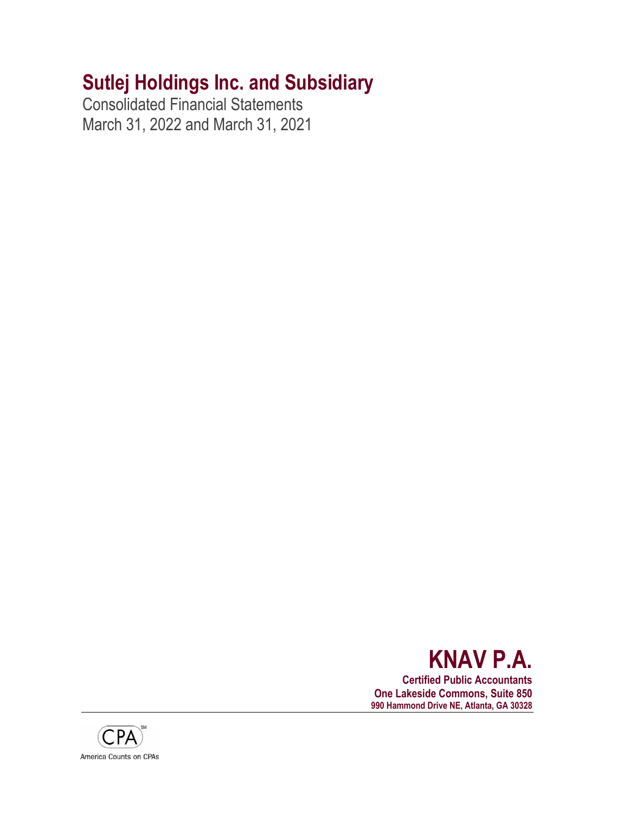Consolidated Financial Statements March 31, 2022 and March 31, 2021



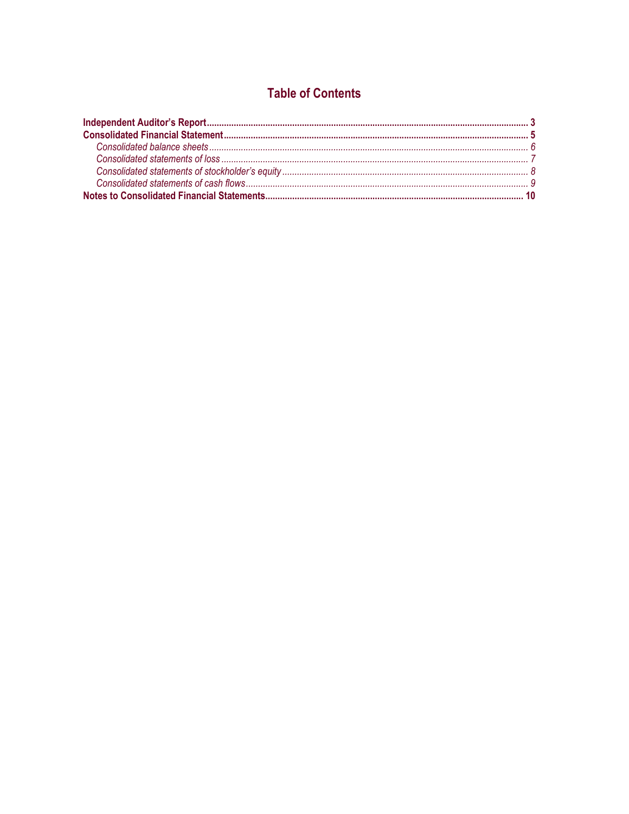# **Table of Contents**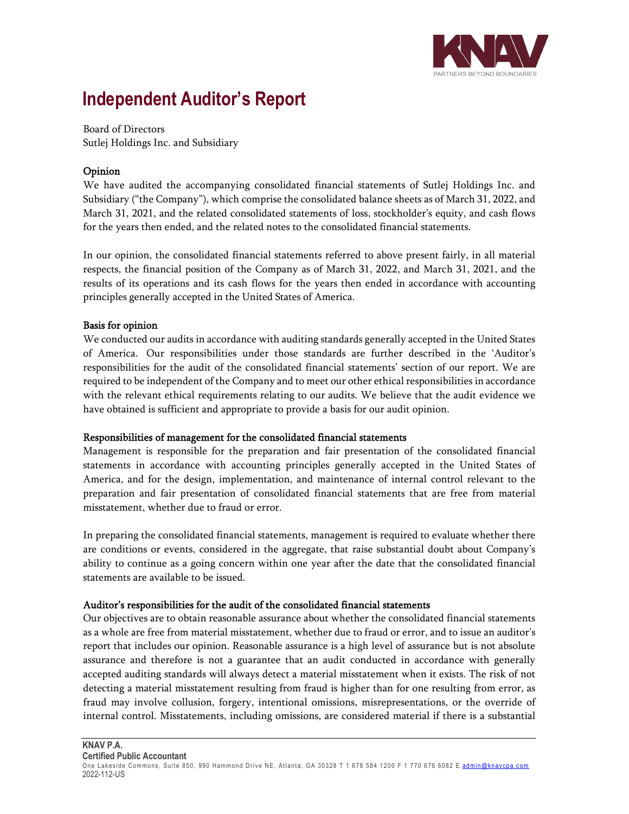

# **Independent Auditor's Report**

Board of Directors Sutlej Holdings Inc. and Subsidiary

# Opinion

We have audited the accompanying consolidated financial statements of Sutlej Holdings Inc. and Subsidiary ("the Company"), which comprise the consolidated balance sheets as of March 31, 2022, and March 31, 2021, and the related consolidated statements of loss, stockholder's equity, and cash flows for the years then ended, and the related notes to the consolidated financial statements.

In our opinion, the consolidated financial statements referred to above present fairly, in all material respects, the financial position of the Company as of March 31, 2022, and March 31, 2021, and the results of its operations and its cash flows for the years then ended in accordance with accounting principles generally accepted in the United States of America.

# Basis for opinion

We conducted our audits in accordance with auditing standards generally accepted in the United States of America. Our responsibilities under those standards are further described in the 'Auditor's responsibilities for the audit of the consolidated financial statements' section of our report. We are required to be independent of the Company and to meet our other ethical responsibilities in accordance with the relevant ethical requirements relating to our audits. We believe that the audit evidence we have obtained is sufficient and appropriate to provide a basis for our audit opinion.

# Responsibilities of management for the consolidated financial statements

Management is responsible for the preparation and fair presentation of the consolidated financial statements in accordance with accounting principles generally accepted in the United States of America, and for the design, implementation, and maintenance of internal control relevant to the preparation and fair presentation of consolidated financial statements that are free from material misstatement, whether due to fraud or error.

In preparing the consolidated financial statements, management is required to evaluate whether there are conditions or events, considered in the aggregate, that raise substantial doubt about Company's ability to continue as a going concern within one year after the date that the consolidated financial statements are available to be issued.

# Auditor's responsibilities for the audit of the consolidated financial statements

Our objectives are to obtain reasonable assurance about whether the consolidated financial statements as a whole are free from material misstatement, whether due to fraud or error, and to issue an auditor's report that includes our opinion. Reasonable assurance is a high level of assurance but is not absolute assurance and therefore is not a guarantee that an audit conducted in accordance with generally accepted auditing standards will always detect a material misstatement when it exists. The risk of not detecting a material misstatement resulting from fraud is higher than for one resulting from error, as fraud may involve collusion, forgery, intentional omissions, misrepresentations, or the override of internal control. Misstatements, including omissions, are considered material if there is a substantial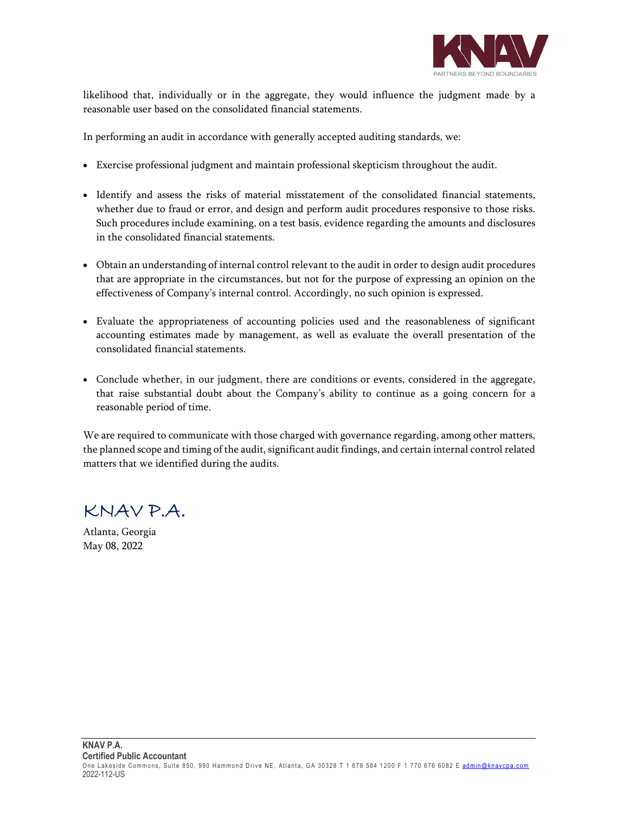

likelihood that, individually or in the aggregate, they would influence the judgment made by a reasonable user based on the consolidated financial statements.

In performing an audit in accordance with generally accepted auditing standards, we:

- Exercise professional judgment and maintain professional skepticism throughout the audit.
- Identify and assess the risks of material misstatement of the consolidated financial statements, whether due to fraud or error, and design and perform audit procedures responsive to those risks. Such procedures include examining, on a test basis, evidence regarding the amounts and disclosures in the consolidated financial statements.
- Obtain an understanding of internal control relevant to the audit in order to design audit procedures that are appropriate in the circumstances, but not for the purpose of expressing an opinion on the effectiveness of Company's internal control. Accordingly, no such opinion is expressed.
- Evaluate the appropriateness of accounting policies used and the reasonableness of significant accounting estimates made by management, as well as evaluate the overall presentation of the consolidated financial statements.
- Conclude whether, in our judgment, there are conditions or events, considered in the aggregate, that raise substantial doubt about the Company's ability to continue as a going concern for a reasonable period of time.

We are required to communicate with those charged with governance regarding, among other matters, the planned scope and timing of the audit, significant audit findings, and certain internal control related matters that we identified during the audits.

KNAV P.A.

Atlanta, Georgia May 08, 2022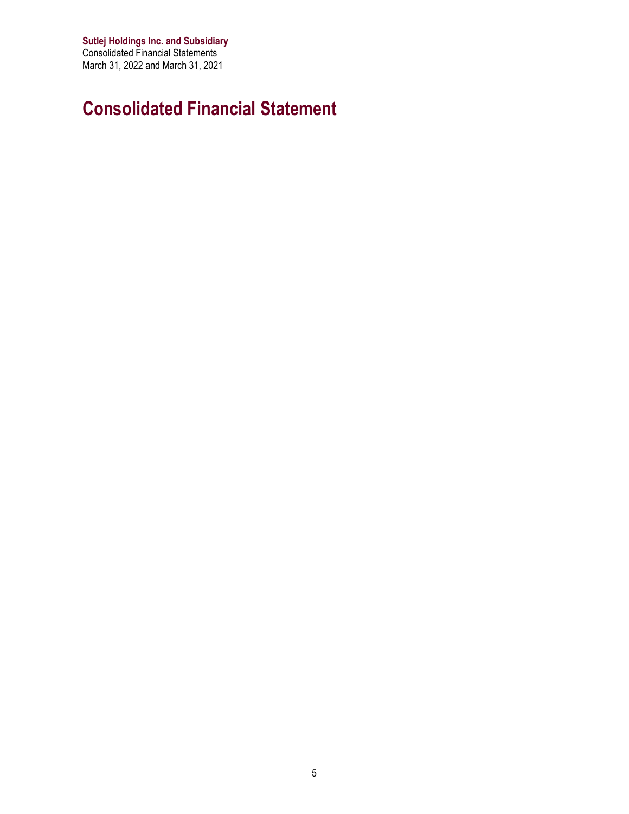**Sutlej Holdings Inc. and Subsidiary** Consolidated Financial Statements March 31, 2022 and March 31, 2021

# **Consolidated Financial Statement**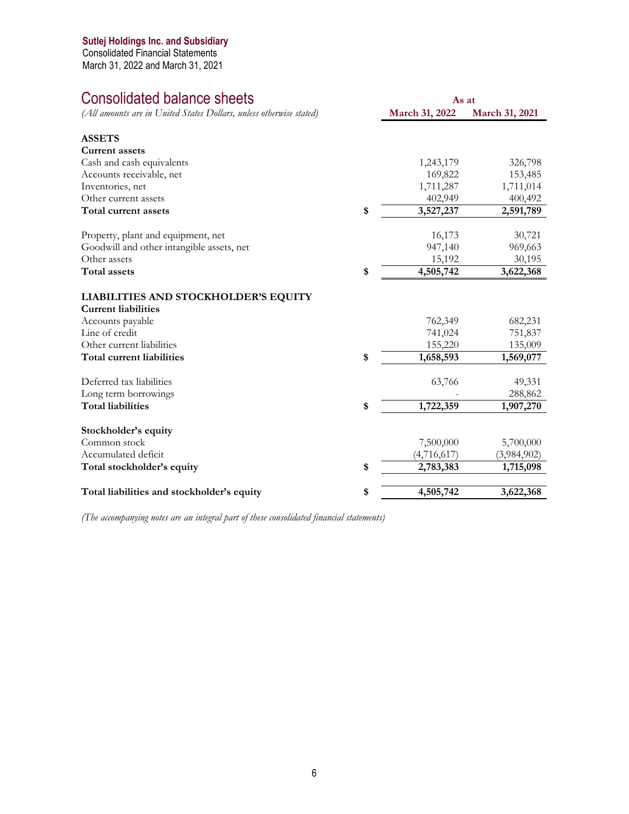Consolidated Financial Statements March 31, 2022 and March 31, 2021

# Consolidated balance sheets

| (All amounts are in United States Dollars, unless otherwise stated) | March 31, 2022  | March 31, 2021 |
|---------------------------------------------------------------------|-----------------|----------------|
|                                                                     |                 |                |
| <b>ASSETS</b>                                                       |                 |                |
| <b>Current assets</b>                                               |                 |                |
| Cash and cash equivalents                                           | 1,243,179       | 326,798        |
| Accounts receivable, net                                            | 169,822         | 153,485        |
| Inventories, net                                                    | 1,711,287       | 1,711,014      |
| Other current assets                                                | 402,949         | 400,492        |
| Total current assets                                                | \$<br>3,527,237 | 2,591,789      |
| Property, plant and equipment, net                                  | 16,173          | 30,721         |
| Goodwill and other intangible assets, net                           | 947,140         | 969,663        |
| Other assets                                                        | 15,192          | 30,195         |
| <b>Total assets</b>                                                 | \$<br>4,505,742 | 3,622,368      |
| LIABILITIES AND STOCKHOLDER'S EQUITY                                |                 |                |
| <b>Current liabilities</b>                                          |                 |                |
| Accounts payable                                                    | 762,349         | 682,231        |
| Line of credit                                                      | 741,024         | 751,837        |
| Other current liabilities                                           | 155,220         | 135,009        |
| Total current liabilities                                           | \$<br>1,658,593 | 1,569,077      |
| Deferred tax liabilities                                            | 63,766          | 49,331         |
| Long term borrowings                                                |                 | 288,862        |
| <b>Total liabilities</b>                                            | \$<br>1,722,359 | 1,907,270      |
|                                                                     |                 |                |
| Stockholder's equity                                                |                 |                |
| Common stock                                                        | 7,500,000       | 5,700,000      |
| Accumulated deficit                                                 | (4,716,617)     | (3,984,902)    |
| Total stockholder's equity                                          | \$<br>2,783,383 | 1,715,098      |
| Total liabilities and stockholder's equity                          | \$<br>4,505,742 | 3,622,368      |
|                                                                     |                 |                |

**As at**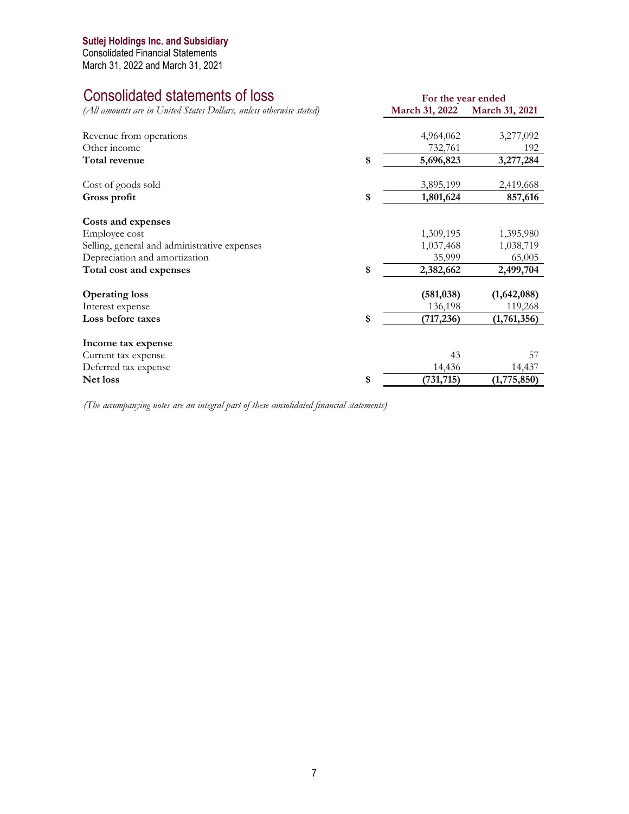# Consolidated statements of loss

*(All amounts are in United States Dollars, unless otherwise stated)*

| Revenue from operations                      | 4,964,062        | 3,277,092   |
|----------------------------------------------|------------------|-------------|
| Other income                                 | 732,761          | 192         |
| Total revenue                                | \$<br>5,696,823  | 3,277,284   |
|                                              |                  |             |
| Cost of goods sold                           | 3,895,199        | 2,419,668   |
| Gross profit                                 | \$<br>1,801,624  | 857,616     |
| Costs and expenses                           |                  |             |
| Employee cost                                | 1,309,195        | 1,395,980   |
| Selling, general and administrative expenses | 1,037,468        | 1,038,719   |
| Depreciation and amortization                | 35,999           | 65,005      |
| Total cost and expenses                      | \$<br>2,382,662  | 2,499,704   |
| <b>Operating loss</b>                        | (581, 038)       | (1,642,088) |
| Interest expense                             | 136,198          | 119,268     |
| Loss before taxes                            | \$<br>(717, 236) | (1,761,356) |
| Income tax expense                           |                  |             |
| Current tax expense                          | 43               | 57          |
| Deferred tax expense                         | 14,436           | 14,437      |
| Net loss                                     | \$<br>(731, 715) | (1,775,850) |
|                                              |                  |             |

**For the year ended March 31, 2022 March 31, 2021**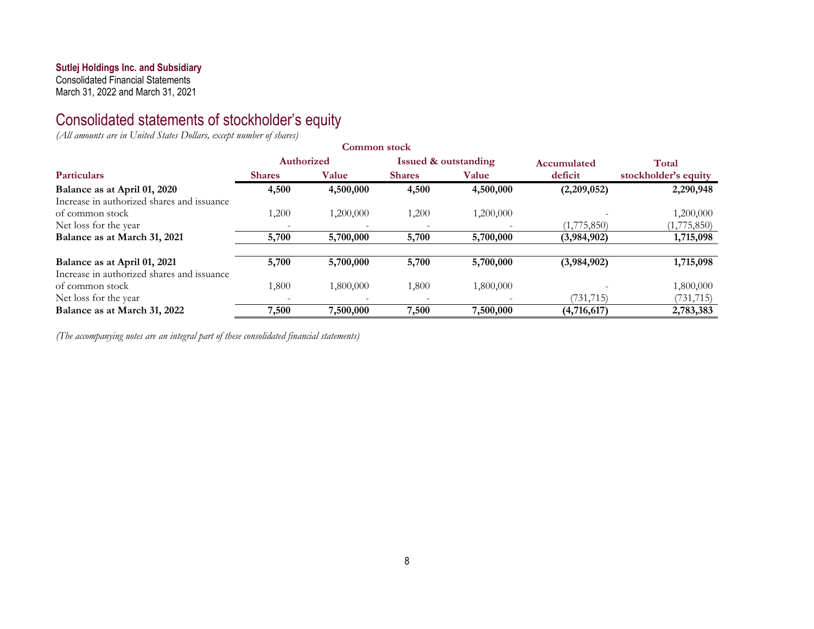Consolidated Financial Statements March 31, 2022 and March 31, 2021

Consolidated statements of stockholder's equity

*(All amounts are in United States Dollars, except number of shares)* 

|                                            |                          | Common stock |               |                                 |             |                      |
|--------------------------------------------|--------------------------|--------------|---------------|---------------------------------|-------------|----------------------|
|                                            | Authorized               |              |               | <b>Issued &amp; outstanding</b> | Accumulated | Total                |
| <b>Particulars</b>                         | <b>Shares</b>            | Value        | <b>Shares</b> | Value                           | deficit     | stockholder's equity |
| Balance as at April 01, 2020               | 4,500                    | 4,500,000    | 4,500         | 4,500,000                       | (2,209,052) | 2,290,948            |
| Increase in authorized shares and issuance |                          |              |               |                                 |             |                      |
| of common stock                            | 1,200                    | 1,200,000    | 1,200         | 1,200,000                       |             | 1,200,000            |
| Net loss for the year                      | $\overline{\phantom{0}}$ |              |               | $\overline{\phantom{a}}$        | (1,775,850) | (1,775,850)          |
| Balance as at March 31, 2021               | 5,700                    | 5,700,000    | 5,700         | 5,700,000                       | (3,984,902) | 1,715,098            |
| Balance as at April 01, 2021               | 5,700                    | 5,700,000    | 5,700         | 5,700,000                       | (3,984,902) | 1,715,098            |
| Increase in authorized shares and issuance |                          |              |               |                                 |             |                      |
| of common stock                            | 1,800                    | 1,800,000    | 1,800         | 1,800,000                       |             | 1,800,000            |
| Net loss for the year                      | $\overline{\phantom{m}}$ |              |               |                                 | (731, 715)  | (731, 715)           |
| Balance as at March 31, 2022               | 7,500                    | 7,500,000    | 7,500         | 7,500,000                       | (4,716,617) | 2,783,383            |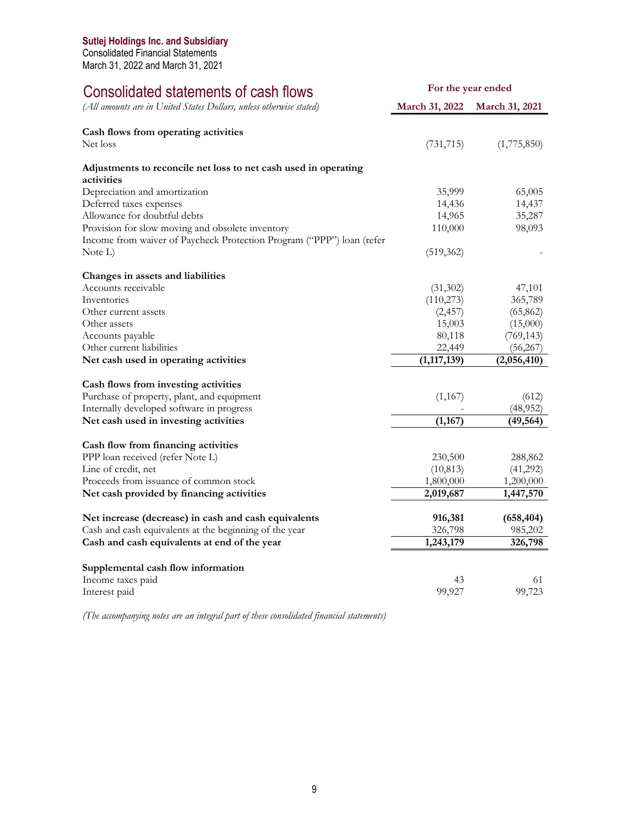Consolidated Financial Statements March 31, 2022 and March 31, 2021

# Consolidated statements of cash flows

| Consolidated statements of cash flows                                 | For the year ended |                       |
|-----------------------------------------------------------------------|--------------------|-----------------------|
| (All amounts are in United States Dollars, unless otherwise stated)   | March 31, 2022     | <b>March 31, 2021</b> |
| Cash flows from operating activities                                  |                    |                       |
| Net loss                                                              | (731, 715)         | (1,775,850)           |
| Adjustments to reconcile net loss to net cash used in operating       |                    |                       |
| activities                                                            |                    |                       |
| Depreciation and amortization                                         | 35,999             | 65,005                |
| Deferred taxes expenses                                               | 14,436             | 14,437                |
| Allowance for doubtful debts                                          | 14,965             | 35,287                |
| Provision for slow moving and obsolete inventory                      | 110,000            | 98,093                |
| Income from waiver of Paycheck Protection Program ("PPP") loan (refer |                    |                       |
| Note L)                                                               | (519, 362)         |                       |
| Changes in assets and liabilities                                     |                    |                       |
| Accounts receivable                                                   | (31,302)           | 47,101                |
| Inventories                                                           | (110, 273)         | 365,789               |
| Other current assets                                                  | (2, 457)           | (65, 862)             |
| Other assets                                                          | 15,003             | (15,000)              |
| Accounts payable                                                      | 80,118             | (769, 143)            |
| Other current liabilities                                             | 22,449             | (56, 267)             |
| Net cash used in operating activities                                 | (1, 117, 139)      | (2,056,410)           |
| Cash flows from investing activities                                  |                    |                       |
| Purchase of property, plant, and equipment                            | (1,167)            | (612)                 |
| Internally developed software in progress                             |                    | (48,952)              |
| Net cash used in investing activities                                 | (1, 167)           | (49, 564)             |
| Cash flow from financing activities                                   |                    |                       |
| PPP loan received (refer Note L)                                      | 230,500            | 288,862               |
| Line of credit, net                                                   | (10, 813)          | (41,292)              |
| Proceeds from issuance of common stock                                | 1,800,000          | 1,200,000             |
| Net cash provided by financing activities                             | 2,019,687          | 1,447,570             |
|                                                                       |                    |                       |
| Net increase (decrease) in cash and cash equivalents                  | 916,381            | (658, 404)            |
| Cash and cash equivalents at the beginning of the year                | 326,798            | 985,202               |
| Cash and cash equivalents at end of the year                          | 1,243,179          | 326,798               |
| Supplemental cash flow information                                    |                    |                       |
| Income taxes paid                                                     | 43                 | 61                    |
| Interest paid                                                         | 99,927             | 99,723                |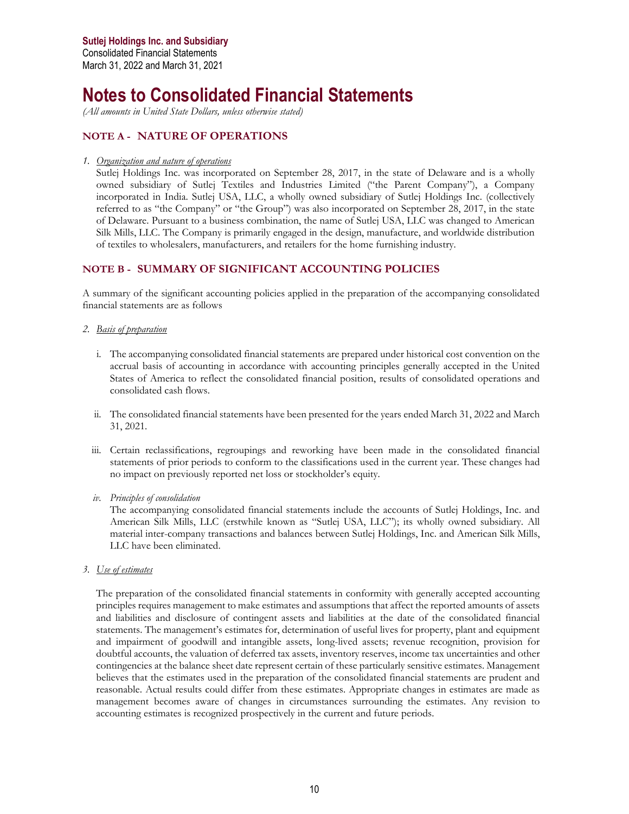# **Notes to Consolidated Financial Statements**

*(All amounts in United State Dollars, unless otherwise stated)* 

# **NOTE A - NATURE OF OPERATIONS**

#### *1. Organization and nature of operations*

Sutlej Holdings Inc. was incorporated on September 28, 2017, in the state of Delaware and is a wholly owned subsidiary of Sutlej Textiles and Industries Limited ("the Parent Company"), a Company incorporated in India. Sutlej USA, LLC, a wholly owned subsidiary of Sutlej Holdings Inc. (collectively referred to as "the Company" or "the Group") was also incorporated on September 28, 2017, in the state of Delaware. Pursuant to a business combination, the name of Sutlej USA, LLC was changed to American Silk Mills, LLC. The Company is primarily engaged in the design, manufacture, and worldwide distribution of textiles to wholesalers, manufacturers, and retailers for the home furnishing industry.

## **NOTE B - SUMMARY OF SIGNIFICANT ACCOUNTING POLICIES**

A summary of the significant accounting policies applied in the preparation of the accompanying consolidated financial statements are as follows

- *2. Basis of preparation* 
	- i. The accompanying consolidated financial statements are prepared under historical cost convention on the accrual basis of accounting in accordance with accounting principles generally accepted in the United States of America to reflect the consolidated financial position, results of consolidated operations and consolidated cash flows.
	- ii. The consolidated financial statements have been presented for the years ended March 31, 2022 and March 31, 2021.
	- iii. Certain reclassifications, regroupings and reworking have been made in the consolidated financial statements of prior periods to conform to the classifications used in the current year. These changes had no impact on previously reported net loss or stockholder's equity.
	- *iv. Principles of consolidation*

The accompanying consolidated financial statements include the accounts of Sutlej Holdings, Inc. and American Silk Mills, LLC (erstwhile known as "Sutlej USA, LLC"); its wholly owned subsidiary. All material inter-company transactions and balances between Sutlej Holdings, Inc. and American Silk Mills, LLC have been eliminated.

*3. Use of estimates* 

The preparation of the consolidated financial statements in conformity with generally accepted accounting principles requires management to make estimates and assumptions that affect the reported amounts of assets and liabilities and disclosure of contingent assets and liabilities at the date of the consolidated financial statements. The management's estimates for, determination of useful lives for property, plant and equipment and impairment of goodwill and intangible assets, long-lived assets; revenue recognition, provision for doubtful accounts, the valuation of deferred tax assets, inventory reserves, income tax uncertainties and other contingencies at the balance sheet date represent certain of these particularly sensitive estimates. Management believes that the estimates used in the preparation of the consolidated financial statements are prudent and reasonable. Actual results could differ from these estimates. Appropriate changes in estimates are made as management becomes aware of changes in circumstances surrounding the estimates. Any revision to accounting estimates is recognized prospectively in the current and future periods.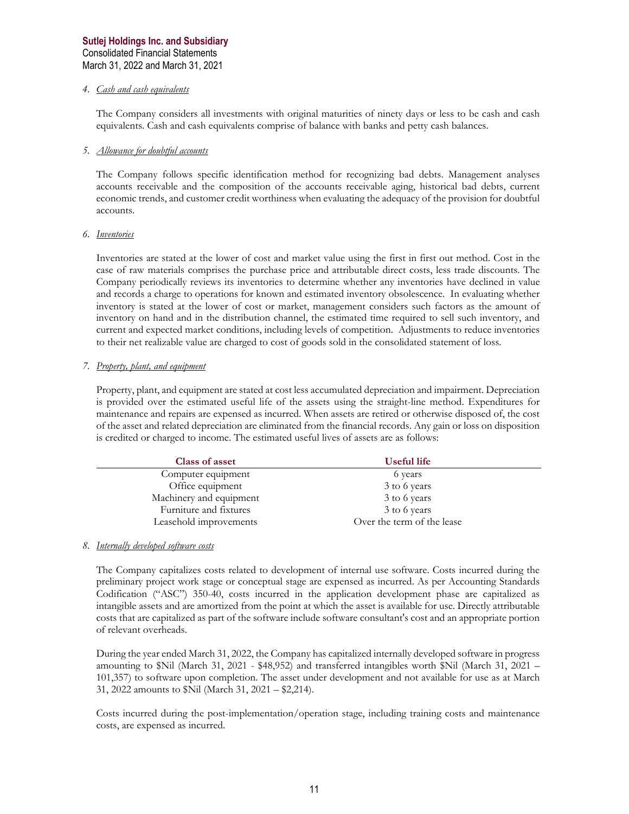#### *4. Cash and cash equivalents*

The Company considers all investments with original maturities of ninety days or less to be cash and cash equivalents. Cash and cash equivalents comprise of balance with banks and petty cash balances.

#### *5. Allowance for doubtful accounts*

The Company follows specific identification method for recognizing bad debts. Management analyses accounts receivable and the composition of the accounts receivable aging, historical bad debts, current economic trends, and customer credit worthiness when evaluating the adequacy of the provision for doubtful accounts.

#### *6. Inventories*

Inventories are stated at the lower of cost and market value using the first in first out method. Cost in the case of raw materials comprises the purchase price and attributable direct costs, less trade discounts. The Company periodically reviews its inventories to determine whether any inventories have declined in value and records a charge to operations for known and estimated inventory obsolescence. In evaluating whether inventory is stated at the lower of cost or market, management considers such factors as the amount of inventory on hand and in the distribution channel, the estimated time required to sell such inventory, and current and expected market conditions, including levels of competition. Adjustments to reduce inventories to their net realizable value are charged to cost of goods sold in the consolidated statement of loss.

#### *7. Property, plant, and equipment*

Property, plant, and equipment are stated at cost less accumulated depreciation and impairment. Depreciation is provided over the estimated useful life of the assets using the straight-line method. Expenditures for maintenance and repairs are expensed as incurred. When assets are retired or otherwise disposed of, the cost of the asset and related depreciation are eliminated from the financial records. Any gain or loss on disposition is credited or charged to income. The estimated useful lives of assets are as follows:

| Class of asset          | Useful life                |  |
|-------------------------|----------------------------|--|
| Computer equipment      | 6 years                    |  |
| Office equipment        | 3 to 6 years               |  |
| Machinery and equipment | 3 to 6 years               |  |
| Furniture and fixtures  | 3 to 6 years               |  |
| Leasehold improvements  | Over the term of the lease |  |

#### *8. Internally developed software costs*

The Company capitalizes costs related to development of internal use software. Costs incurred during the preliminary project work stage or conceptual stage are expensed as incurred. As per Accounting Standards Codification ("ASC") 350-40, costs incurred in the application development phase are capitalized as intangible assets and are amortized from the point at which the asset is available for use. Directly attributable costs that are capitalized as part of the software include software consultant's cost and an appropriate portion of relevant overheads.

During the year ended March 31, 2022, the Company has capitalized internally developed software in progress amounting to \$Nil (March 31, 2021 - \$48,952) and transferred intangibles worth \$Nil (March 31, 2021 – 101,357) to software upon completion. The asset under development and not available for use as at March 31, 2022 amounts to \$Nil (March 31, 2021 – \$2,214).

Costs incurred during the post-implementation/operation stage, including training costs and maintenance costs, are expensed as incurred.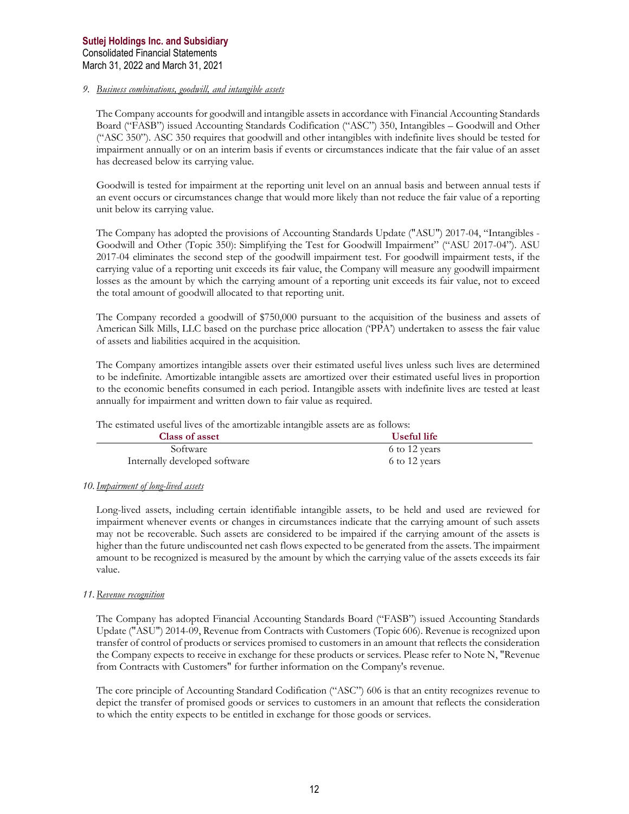#### *9. Business combinations, goodwill, and intangible assets*

The Company accounts for goodwill and intangible assets in accordance with Financial Accounting Standards Board ("FASB") issued Accounting Standards Codification ("ASC") 350, Intangibles – Goodwill and Other ("ASC 350"). ASC 350 requires that goodwill and other intangibles with indefinite lives should be tested for impairment annually or on an interim basis if events or circumstances indicate that the fair value of an asset has decreased below its carrying value.

Goodwill is tested for impairment at the reporting unit level on an annual basis and between annual tests if an event occurs or circumstances change that would more likely than not reduce the fair value of a reporting unit below its carrying value.

The Company has adopted the provisions of Accounting Standards Update ("ASU") 2017-04, "Intangibles - Goodwill and Other (Topic 350): Simplifying the Test for Goodwill Impairment" ("ASU 2017-04"). ASU 2017-04 eliminates the second step of the goodwill impairment test. For goodwill impairment tests, if the carrying value of a reporting unit exceeds its fair value, the Company will measure any goodwill impairment losses as the amount by which the carrying amount of a reporting unit exceeds its fair value, not to exceed the total amount of goodwill allocated to that reporting unit.

The Company recorded a goodwill of \$750,000 pursuant to the acquisition of the business and assets of American Silk Mills, LLC based on the purchase price allocation ('PPA') undertaken to assess the fair value of assets and liabilities acquired in the acquisition.

The Company amortizes intangible assets over their estimated useful lives unless such lives are determined to be indefinite. Amortizable intangible assets are amortized over their estimated useful lives in proportion to the economic benefits consumed in each period. Intangible assets with indefinite lives are tested at least annually for impairment and written down to fair value as required.

The estimated useful lives of the amortizable intangible assets are as follows:

| Class of asset                | Useful life   |
|-------------------------------|---------------|
| Software                      | 6 to 12 years |
| Internally developed software | 6 to 12 years |

#### *10.Impairment of long-lived assets*

Long-lived assets, including certain identifiable intangible assets, to be held and used are reviewed for impairment whenever events or changes in circumstances indicate that the carrying amount of such assets may not be recoverable. Such assets are considered to be impaired if the carrying amount of the assets is higher than the future undiscounted net cash flows expected to be generated from the assets. The impairment amount to be recognized is measured by the amount by which the carrying value of the assets exceeds its fair value.

#### *11.Revenue recognition*

The Company has adopted Financial Accounting Standards Board ("FASB") issued Accounting Standards Update ("ASU") 2014-09, Revenue from Contracts with Customers (Topic 606). Revenue is recognized upon transfer of control of products or services promised to customers in an amount that reflects the consideration the Company expects to receive in exchange for these products or services. Please refer to Note N, "Revenue from Contracts with Customers" for further information on the Company's revenue.

The core principle of Accounting Standard Codification ("ASC") 606 is that an entity recognizes revenue to depict the transfer of promised goods or services to customers in an amount that reflects the consideration to which the entity expects to be entitled in exchange for those goods or services.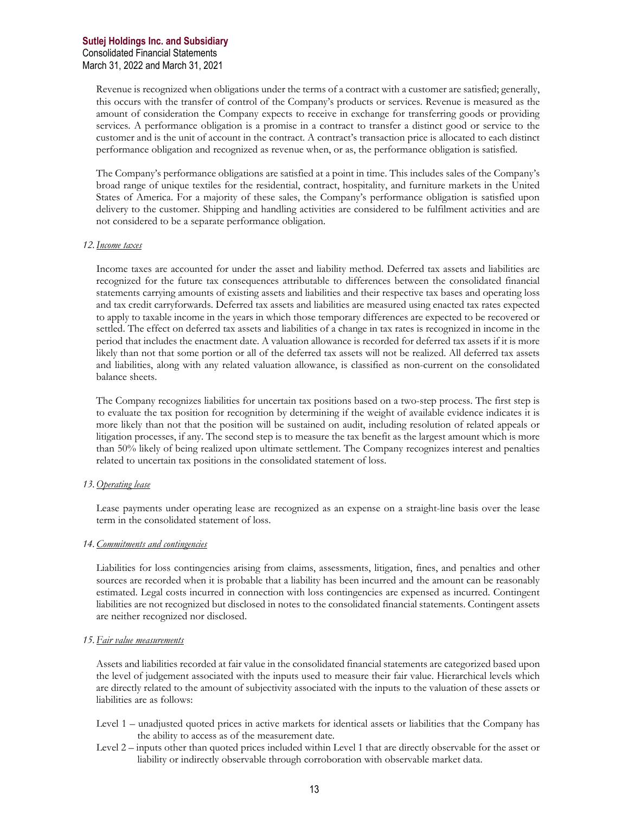Revenue is recognized when obligations under the terms of a contract with a customer are satisfied; generally, this occurs with the transfer of control of the Company's products or services. Revenue is measured as the amount of consideration the Company expects to receive in exchange for transferring goods or providing services. A performance obligation is a promise in a contract to transfer a distinct good or service to the customer and is the unit of account in the contract. A contract's transaction price is allocated to each distinct performance obligation and recognized as revenue when, or as, the performance obligation is satisfied.

The Company's performance obligations are satisfied at a point in time. This includes sales of the Company's broad range of unique textiles for the residential, contract, hospitality, and furniture markets in the United States of America. For a majority of these sales, the Company's performance obligation is satisfied upon delivery to the customer. Shipping and handling activities are considered to be fulfilment activities and are not considered to be a separate performance obligation.

#### *12.Income taxes*

Income taxes are accounted for under the asset and liability method. Deferred tax assets and liabilities are recognized for the future tax consequences attributable to differences between the consolidated financial statements carrying amounts of existing assets and liabilities and their respective tax bases and operating loss and tax credit carryforwards. Deferred tax assets and liabilities are measured using enacted tax rates expected to apply to taxable income in the years in which those temporary differences are expected to be recovered or settled. The effect on deferred tax assets and liabilities of a change in tax rates is recognized in income in the period that includes the enactment date. A valuation allowance is recorded for deferred tax assets if it is more likely than not that some portion or all of the deferred tax assets will not be realized. All deferred tax assets and liabilities, along with any related valuation allowance, is classified as non-current on the consolidated balance sheets.

The Company recognizes liabilities for uncertain tax positions based on a two-step process. The first step is to evaluate the tax position for recognition by determining if the weight of available evidence indicates it is more likely than not that the position will be sustained on audit, including resolution of related appeals or litigation processes, if any. The second step is to measure the tax benefit as the largest amount which is more than 50% likely of being realized upon ultimate settlement. The Company recognizes interest and penalties related to uncertain tax positions in the consolidated statement of loss.

#### *13.Operating lease*

Lease payments under operating lease are recognized as an expense on a straight-line basis over the lease term in the consolidated statement of loss.

#### *14.Commitments and contingencies*

Liabilities for loss contingencies arising from claims, assessments, litigation, fines, and penalties and other sources are recorded when it is probable that a liability has been incurred and the amount can be reasonably estimated. Legal costs incurred in connection with loss contingencies are expensed as incurred. Contingent liabilities are not recognized but disclosed in notes to the consolidated financial statements. Contingent assets are neither recognized nor disclosed.

#### *15.Fair value measurements*

Assets and liabilities recorded at fair value in the consolidated financial statements are categorized based upon the level of judgement associated with the inputs used to measure their fair value. Hierarchical levels which are directly related to the amount of subjectivity associated with the inputs to the valuation of these assets or liabilities are as follows:

- Level 1 unadjusted quoted prices in active markets for identical assets or liabilities that the Company has the ability to access as of the measurement date.
- Level 2 inputs other than quoted prices included within Level 1 that are directly observable for the asset or liability or indirectly observable through corroboration with observable market data.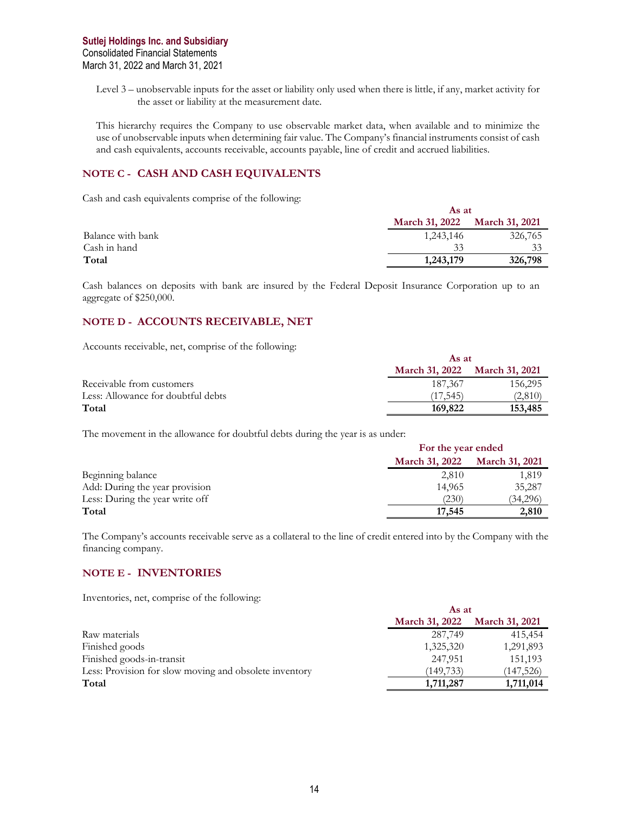Level 3 – unobservable inputs for the asset or liability only used when there is little, if any, market activity for the asset or liability at the measurement date.

This hierarchy requires the Company to use observable market data, when available and to minimize the use of unobservable inputs when determining fair value. The Company's financial instruments consist of cash and cash equivalents, accounts receivable, accounts payable, line of credit and accrued liabilities.

### **NOTE C - CASH AND CASH EQUIVALENTS**

Cash and cash equivalents comprise of the following:

|                   | As at                 |                       |
|-------------------|-----------------------|-----------------------|
|                   | <b>March 31, 2022</b> | <b>March 31, 2021</b> |
| Balance with bank | 1,243,146             | 326,765               |
| Cash in hand      | 33                    | 33                    |
| Total             | 1,243,179             | 326,798               |

Cash balances on deposits with bank are insured by the Federal Deposit Insurance Corporation up to an aggregate of \$250,000.

# **NOTE D - ACCOUNTS RECEIVABLE, NET**

Accounts receivable, net, comprise of the following:

|                                    | As at                 |                       |
|------------------------------------|-----------------------|-----------------------|
|                                    | <b>March 31, 2022</b> | <b>March 31, 2021</b> |
| Receivable from customers          | 187,367               | 156,295               |
| Less: Allowance for doubtful debts | (17.545)              | (2,810)               |
| Total                              | 169,822               | 153,485               |

The movement in the allowance for doubtful debts during the year is as under:

|                                 | For the year ended    |                       |
|---------------------------------|-----------------------|-----------------------|
|                                 | <b>March 31, 2022</b> | <b>March 31, 2021</b> |
| Beginning balance               | 2,810                 | 1,819                 |
| Add: During the year provision  | 14.965                | 35,287                |
| Less: During the year write off | (230)                 | (34,296)              |
| Total                           | 17,545                | 2,810                 |

The Company's accounts receivable serve as a collateral to the line of credit entered into by the Company with the financing company.

#### **NOTE E - INVENTORIES**

Inventories, net, comprise of the following:

|                                                        | As at                         |            |  |
|--------------------------------------------------------|-------------------------------|------------|--|
|                                                        | March 31, 2022 March 31, 2021 |            |  |
| Raw materials                                          | 287,749                       | 415,454    |  |
| Finished goods                                         | 1,325,320                     | 1,291,893  |  |
| Finished goods-in-transit                              | 247,951                       | 151,193    |  |
| Less: Provision for slow moving and obsolete inventory | (149, 733)                    | (147, 526) |  |
| Total                                                  | 1,711,287                     | 1,711,014  |  |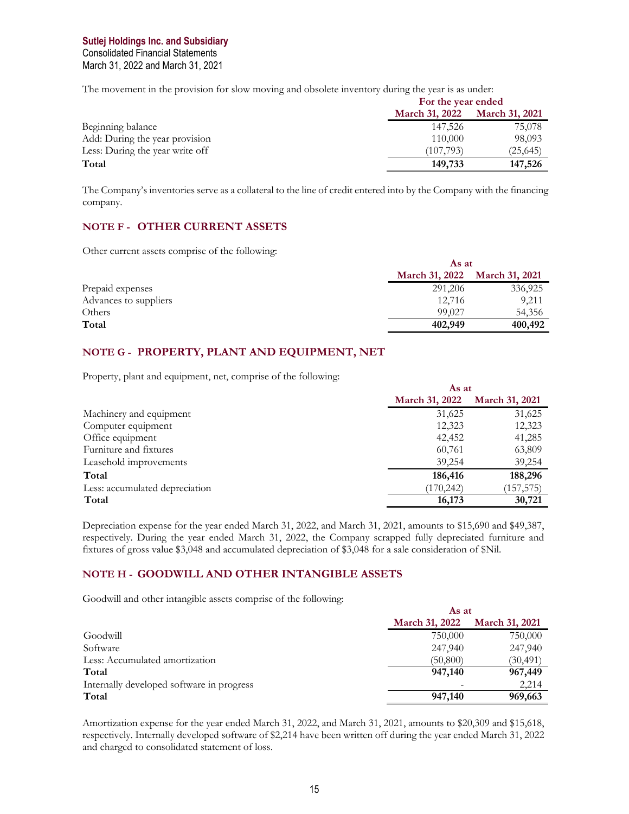## **Sutlej Holdings Inc. and Subsidiary** Consolidated Financial Statements March 31, 2022 and March 31, 2021

The movement in the provision for slow moving and obsolete inventory during the year is as under:

|                                 | For the year ended    |                       |
|---------------------------------|-----------------------|-----------------------|
|                                 | <b>March 31, 2022</b> | <b>March 31, 2021</b> |
| Beginning balance               | 147.526               | 75,078                |
| Add: During the year provision  | 110,000               | 98,093                |
| Less: During the year write off | (107, 793)            | (25, 645)             |
| Total                           | 149,733               | 147,526               |

The Company's inventories serve as a collateral to the line of credit entered into by the Company with the financing company.

# **NOTE F - OTHER CURRENT ASSETS**

Other current assets comprise of the following:

|                       | As at                 |                       |
|-----------------------|-----------------------|-----------------------|
|                       | <b>March 31, 2022</b> | <b>March 31, 2021</b> |
| Prepaid expenses      | 291,206               | 336,925               |
| Advances to suppliers | 12.716                | 9,211                 |
| Others                | 99,027                | 54,356                |
| Total                 | 402,949               | 400,492               |

## **NOTE G - PROPERTY, PLANT AND EQUIPMENT, NET**

Property, plant and equipment, net, comprise of the following:

|                                | As at                 |                       |
|--------------------------------|-----------------------|-----------------------|
|                                | <b>March 31, 2022</b> | <b>March 31, 2021</b> |
| Machinery and equipment        | 31,625                | 31,625                |
| Computer equipment             | 12,323                | 12,323                |
| Office equipment               | 42,452                | 41,285                |
| Furniture and fixtures         | 60,761                | 63,809                |
| Leasehold improvements         | 39,254                | 39,254                |
| Total                          | 186,416               | 188,296               |
| Less: accumulated depreciation | (170, 242)            | (157, 575)            |
| Total                          | 16,173                | 30,721                |

Depreciation expense for the year ended March 31, 2022, and March 31, 2021, amounts to \$15,690 and \$49,387, respectively. During the year ended March 31, 2022, the Company scrapped fully depreciated furniture and fixtures of gross value \$3,048 and accumulated depreciation of \$3,048 for a sale consideration of \$Nil.

#### **NOTE H - GOODWILL AND OTHER INTANGIBLE ASSETS**

Goodwill and other intangible assets comprise of the following:

|                                           | As at          |                       |
|-------------------------------------------|----------------|-----------------------|
|                                           | March 31, 2022 | <b>March 31, 2021</b> |
| Goodwill                                  | 750,000        | 750,000               |
| Software                                  | 247,940        | 247,940               |
| Less: Accumulated amortization            | (50, 800)      | (30,491)              |
| Total                                     | 947,140        | 967,449               |
| Internally developed software in progress |                | 2,214                 |
| Total                                     | 947,140        | 969,663               |

Amortization expense for the year ended March 31, 2022, and March 31, 2021, amounts to \$20,309 and \$15,618, respectively. Internally developed software of \$2,214 have been written off during the year ended March 31, 2022 and charged to consolidated statement of loss.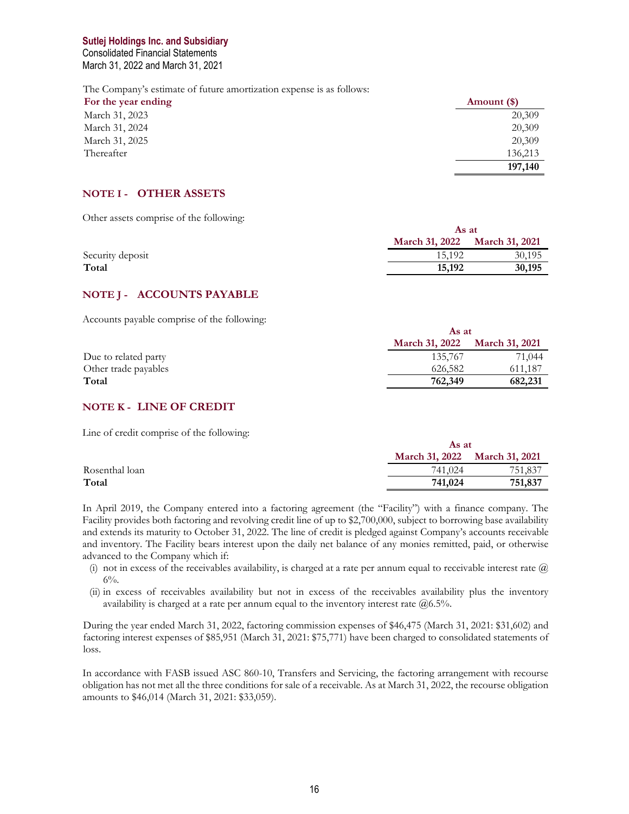Consolidated Financial Statements March 31, 2022 and March 31, 2021

The Company's estimate of future amortization expense is as follows:

| For the year ending | Amount (\$) |
|---------------------|-------------|
| March 31, 2023      | 20,309      |
| March 31, 2024      | 20,309      |
| March 31, 2025      | 20,309      |
| Thereafter          | 136,213     |
|                     | 197,140     |

#### **NOTE I - OTHER ASSETS**

Other assets comprise of the following:

|                  |                               | As at  |  |
|------------------|-------------------------------|--------|--|
|                  | March 31, 2022 March 31, 2021 |        |  |
| Security deposit | 15.192                        | 30,195 |  |
| Total            | 15,192                        | 30,195 |  |
|                  |                               |        |  |

#### **NOTE J - ACCOUNTS PAYABLE**

Accounts payable comprise of the following:

|                      | As at                 |                       |
|----------------------|-----------------------|-----------------------|
|                      | <b>March 31, 2022</b> | <b>March 31, 2021</b> |
| Due to related party | 135,767               | 71,044                |
| Other trade payables | 626,582               | 611,187               |
| Total                | 762,349               | 682,231               |

### **NOTE K - LINE OF CREDIT**

Line of credit comprise of the following:

|                |                       | As at                 |  |
|----------------|-----------------------|-----------------------|--|
|                | <b>March 31, 2022</b> | <b>March 31, 2021</b> |  |
| Rosenthal loan | 741,024               | 751,837               |  |
| Total          | 741,024               | 751,837               |  |

In April 2019, the Company entered into a factoring agreement (the "Facility") with a finance company. The Facility provides both factoring and revolving credit line of up to \$2,700,000, subject to borrowing base availability and extends its maturity to October 31, 2022. The line of credit is pledged against Company's accounts receivable and inventory. The Facility bears interest upon the daily net balance of any monies remitted, paid, or otherwise advanced to the Company which if:

- (i) not in excess of the receivables availability, is charged at a rate per annum equal to receivable interest rate  $\omega$  $6\%$ .
- (ii) in excess of receivables availability but not in excess of the receivables availability plus the inventory availability is charged at a rate per annum equal to the inventory interest rate  $@6.5\%$ .

During the year ended March 31, 2022, factoring commission expenses of \$46,475 (March 31, 2021: \$31,602) and factoring interest expenses of \$85,951 (March 31, 2021: \$75,771) have been charged to consolidated statements of loss.

In accordance with FASB issued ASC 860-10, Transfers and Servicing, the factoring arrangement with recourse obligation has not met all the three conditions for sale of a receivable. As at March 31, 2022, the recourse obligation amounts to \$46,014 (March 31, 2021: \$33,059).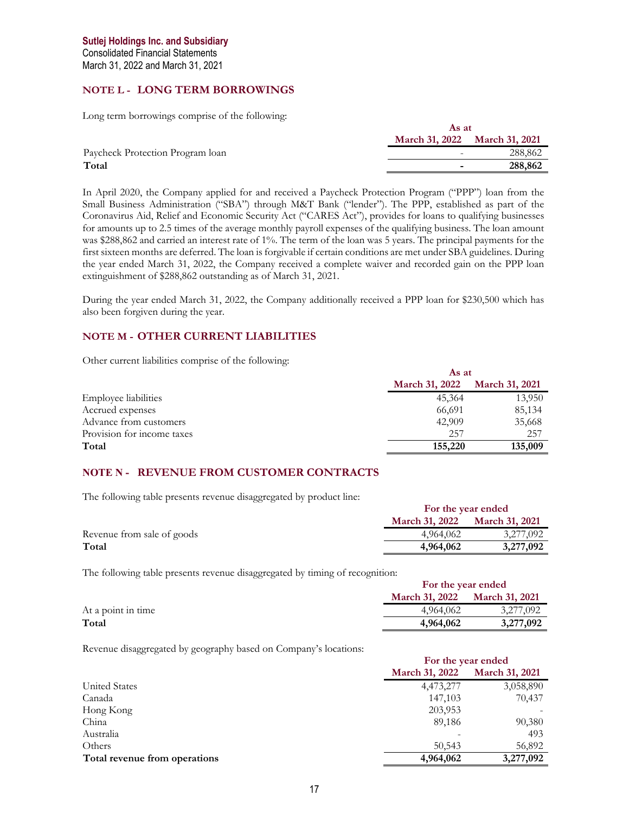## **NOTE L - LONG TERM BORROWINGS**

Long term borrowings comprise of the following:

|                                  | As at                         |         |
|----------------------------------|-------------------------------|---------|
|                                  | March 31, 2022 March 31, 2021 |         |
| Paycheck Protection Program loan |                               | 288,862 |
| Total                            | -                             | 288,862 |

In April 2020, the Company applied for and received a Paycheck Protection Program ("PPP") loan from the Small Business Administration ("SBA") through M&T Bank ("lender"). The PPP, established as part of the Coronavirus Aid, Relief and Economic Security Act ("CARES Act"), provides for loans to qualifying businesses for amounts up to 2.5 times of the average monthly payroll expenses of the qualifying business. The loan amount was \$288,862 and carried an interest rate of 1%. The term of the loan was 5 years. The principal payments for the first sixteen months are deferred. The loan is forgivable if certain conditions are met under SBA guidelines. During the year ended March 31, 2022, the Company received a complete waiver and recorded gain on the PPP loan extinguishment of \$288,862 outstanding as of March 31, 2021.

During the year ended March 31, 2022, the Company additionally received a PPP loan for \$230,500 which has also been forgiven during the year.

# **NOTE M - OTHER CURRENT LIABILITIES**

Other current liabilities comprise of the following:

|                             | As at                 |                       |
|-----------------------------|-----------------------|-----------------------|
|                             | <b>March 31, 2022</b> | <b>March 31, 2021</b> |
| <b>Employee liabilities</b> | 45,364                | 13,950                |
| Accrued expenses            | 66,691                | 85,134                |
| Advance from customers      | 42,909                | 35,668                |
| Provision for income taxes  | 257                   | 257                   |
| Total                       | 155,220               | 135,009               |

# **NOTE N - REVENUE FROM CUSTOMER CONTRACTS**

The following table presents revenue disaggregated by product line:

|                            | For the year ended                             |           |
|----------------------------|------------------------------------------------|-----------|
|                            | <b>March 31, 2021</b><br><b>March 31, 2022</b> |           |
| Revenue from sale of goods | 4.964.062                                      | 3.277.092 |
| Total                      | 4,964,062                                      | 3,277,092 |

The following table presents revenue disaggregated by timing of recognition:

|                    | For the year ended                             |           |
|--------------------|------------------------------------------------|-----------|
|                    | <b>March 31, 2022</b><br><b>March 31, 2021</b> |           |
| At a point in time | 4.964,062                                      | 3,277,092 |
| Total              | 4,964,062                                      | 3,277,092 |

Revenue disaggregated by geography based on Company's locations:

|                               | For the year ended    |                       |
|-------------------------------|-----------------------|-----------------------|
|                               | <b>March 31, 2022</b> | <b>March 31, 2021</b> |
| United States                 | 4,473,277             | 3,058,890             |
| Canada                        | 147,103               | 70,437                |
| Hong Kong                     | 203,953               |                       |
| China                         | 89,186                | 90,380                |
| Australia                     |                       | 493                   |
| Others                        | 50,543                | 56,892                |
| Total revenue from operations | 4,964,062             | 3,277,092             |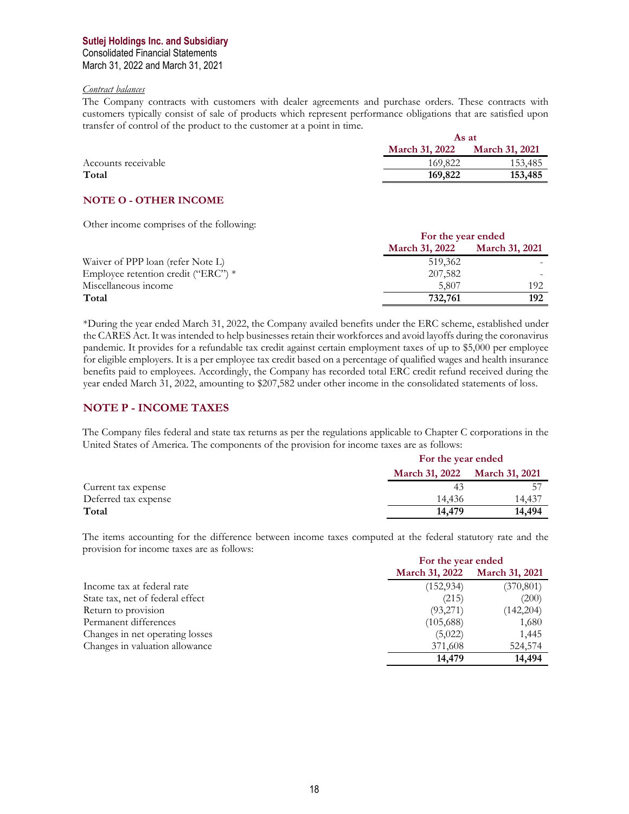## **Sutlej Holdings Inc. and Subsidiary** Consolidated Financial Statements March 31, 2022 and March 31, 2021

#### *Contract balances*

The Company contracts with customers with dealer agreements and purchase orders. These contracts with customers typically consist of sale of products which represent performance obligations that are satisfied upon transfer of control of the product to the customer at a point in time. **As at** 

|                     |                       | As at                 |  |
|---------------------|-----------------------|-----------------------|--|
|                     | <b>March 31, 2022</b> | <b>March 31, 2021</b> |  |
| Accounts receivable | 169,822               | 153,485               |  |
| Total               | 169,822               | 153,485               |  |
|                     |                       |                       |  |

### **NOTE O - OTHER INCOME**

Other income comprises of the following:

|                                     | For the year ended    |                       |
|-------------------------------------|-----------------------|-----------------------|
|                                     | <b>March 31, 2022</b> | <b>March 31, 2021</b> |
| Waiver of PPP loan (refer Note L)   | 519,362               |                       |
| Employee retention credit ("ERC") * | 207,582               |                       |
| Miscellaneous income                | 5.807                 | 192                   |
| Total                               | 732,761               | 192                   |

\*During the year ended March 31, 2022, the Company availed benefits under the ERC scheme, established under the CARES Act. It was intended to help businesses retain their workforces and avoid layoffs during the coronavirus pandemic. It provides for a refundable tax credit against certain employment taxes of up to \$5,000 per employee for eligible employers. It is a per employee tax credit based on a percentage of qualified wages and health insurance benefits paid to employees. Accordingly, the Company has recorded total ERC credit refund received during the year ended March 31, 2022, amounting to \$207,582 under other income in the consolidated statements of loss.

# **NOTE P - INCOME TAXES**

The Company files federal and state tax returns as per the regulations applicable to Chapter C corporations in the United States of America. The components of the provision for income taxes are as follows:

|                      | For the year ended    |                       |
|----------------------|-----------------------|-----------------------|
|                      | <b>March 31, 2022</b> | <b>March 31, 2021</b> |
| Current tax expense  | 43                    |                       |
| Deferred tax expense | 14.436                | 14.437                |
| Total                | 14,479                | 14,494                |

The items accounting for the difference between income taxes computed at the federal statutory rate and the provision for income taxes are as follows:

|                                  | For the year ended    |                       |
|----------------------------------|-----------------------|-----------------------|
|                                  | <b>March 31, 2022</b> | <b>March 31, 2021</b> |
| Income tax at federal rate       | (152, 934)            | (370, 801)            |
| State tax, net of federal effect | (215)                 | (200)                 |
| Return to provision              | (93,271)              | (142,204)             |
| Permanent differences            | (105,688)             | 1,680                 |
| Changes in net operating losses  | (5,022)               | 1,445                 |
| Changes in valuation allowance   | 371,608               | 524,574               |
|                                  | 14,479                | 14,494                |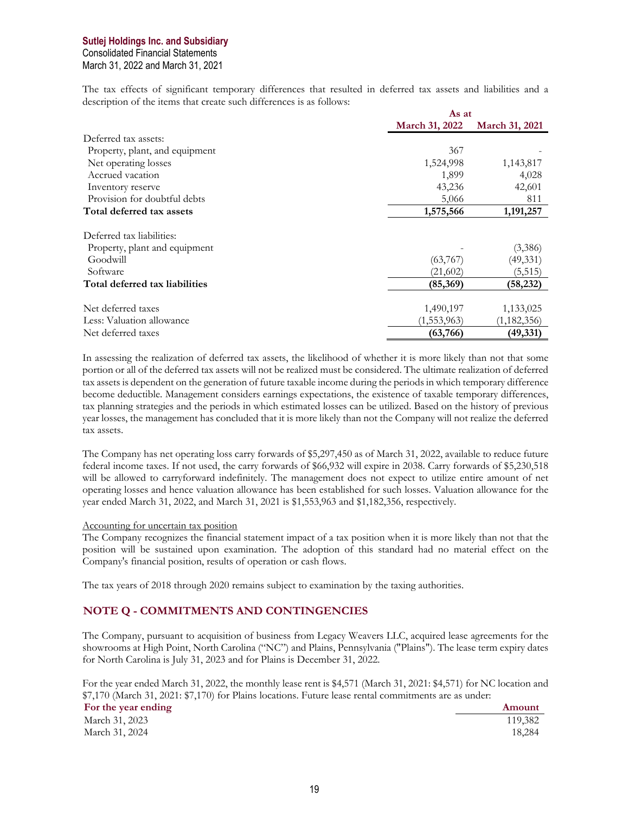# **Sutlej Holdings Inc. and Subsidiary** Consolidated Financial Statements March 31, 2022 and March 31, 2021

The tax effects of significant temporary differences that resulted in deferred tax assets and liabilities and a description of the items that create such differences is as follows:

|                                | As at          |                |
|--------------------------------|----------------|----------------|
|                                | March 31, 2022 | March 31, 2021 |
| Deferred tax assets:           |                |                |
| Property, plant, and equipment | 367            |                |
| Net operating losses           | 1,524,998      | 1,143,817      |
| Accrued vacation               | 1,899          | 4,028          |
| Inventory reserve              | 43,236         | 42,601         |
| Provision for doubtful debts   | 5,066          | 811            |
| Total deferred tax assets      | 1,575,566      | 1,191,257      |
| Deferred tax liabilities:      |                |                |
| Property, plant and equipment  |                | (3,386)        |
| Goodwill                       | (63,767)       | (49, 331)      |
| Software                       | (21,602)       | (5, 515)       |
| Total deferred tax liabilities | (85,369)       | (58, 232)      |
| Net deferred taxes             | 1,490,197      | 1,133,025      |
| Less: Valuation allowance      | (1, 553, 963)  | (1, 182, 356)  |
| Net deferred taxes             | (63,766)       | (49,331)       |

In assessing the realization of deferred tax assets, the likelihood of whether it is more likely than not that some portion or all of the deferred tax assets will not be realized must be considered. The ultimate realization of deferred tax assets is dependent on the generation of future taxable income during the periods in which temporary difference become deductible. Management considers earnings expectations, the existence of taxable temporary differences, tax planning strategies and the periods in which estimated losses can be utilized. Based on the history of previous year losses, the management has concluded that it is more likely than not the Company will not realize the deferred tax assets.

The Company has net operating loss carry forwards of \$5,297,450 as of March 31, 2022, available to reduce future federal income taxes. If not used, the carry forwards of \$66,932 will expire in 2038. Carry forwards of \$5,230,518 will be allowed to carryforward indefinitely. The management does not expect to utilize entire amount of net operating losses and hence valuation allowance has been established for such losses. Valuation allowance for the year ended March 31, 2022, and March 31, 2021 is \$1,553,963 and \$1,182,356, respectively.

#### Accounting for uncertain tax position

The Company recognizes the financial statement impact of a tax position when it is more likely than not that the position will be sustained upon examination. The adoption of this standard had no material effect on the Company's financial position, results of operation or cash flows.

The tax years of 2018 through 2020 remains subject to examination by the taxing authorities.

# **NOTE Q - COMMITMENTS AND CONTINGENCIES**

The Company, pursuant to acquisition of business from Legacy Weavers LLC, acquired lease agreements for the showrooms at High Point, North Carolina ("NC") and Plains, Pennsylvania ("Plains"). The lease term expiry dates for North Carolina is July 31, 2023 and for Plains is December 31, 2022.

For the year ended March 31, 2022, the monthly lease rent is \$4,571 (March 31, 2021: \$4,571) for NC location and \$7,170 (March 31, 2021: \$7,170) for Plains locations. Future lease rental commitments are as under:

| For the year ending | Amount  |
|---------------------|---------|
| March 31, 2023      | 119,382 |
| March 31, 2024      | 18.284  |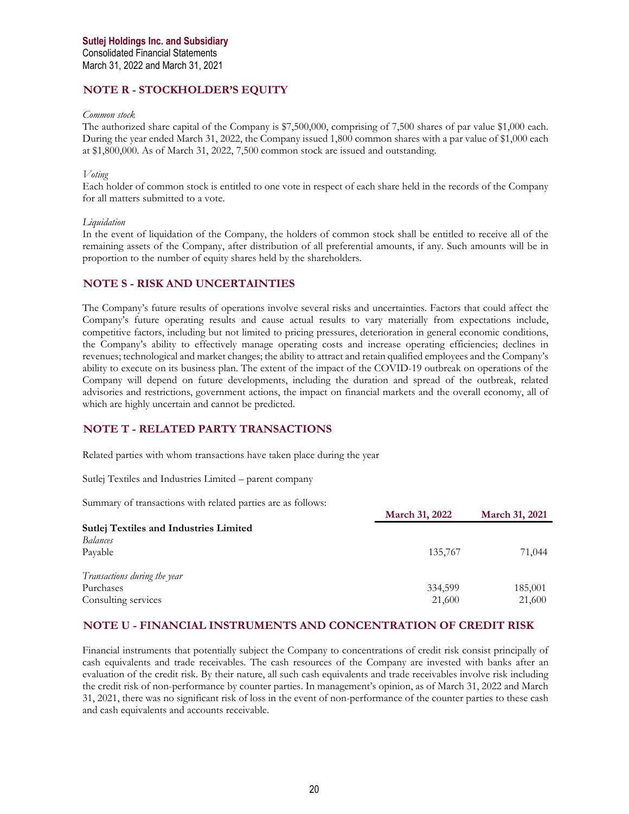## **NOTE R - STOCKHOLDER'S EQUITY**

#### *Common stock*

The authorized share capital of the Company is \$7,500,000, comprising of 7,500 shares of par value \$1,000 each. During the year ended March 31, 2022, the Company issued 1,800 common shares with a par value of \$1,000 each at \$1,800,000. As of March 31, 2022, 7,500 common stock are issued and outstanding.

#### *Voting*

Each holder of common stock is entitled to one vote in respect of each share held in the records of the Company for all matters submitted to a vote.

#### *Liquidation*

In the event of liquidation of the Company, the holders of common stock shall be entitled to receive all of the remaining assets of the Company, after distribution of all preferential amounts, if any. Such amounts will be in proportion to the number of equity shares held by the shareholders.

#### **NOTE S - RISK AND UNCERTAINTIES**

The Company's future results of operations involve several risks and uncertainties. Factors that could affect the Company's future operating results and cause actual results to vary materially from expectations include, competitive factors, including but not limited to pricing pressures, deterioration in general economic conditions, the Company's ability to effectively manage operating costs and increase operating efficiencies; declines in revenues; technological and market changes; the ability to attract and retain qualified employees and the Company's ability to execute on its business plan. The extent of the impact of the COVID-19 outbreak on operations of the Company will depend on future developments, including the duration and spread of the outbreak, related advisories and restrictions, government actions, the impact on financial markets and the overall economy, all of which are highly uncertain and cannot be predicted.

# **NOTE T - RELATED PARTY TRANSACTIONS**

Related parties with whom transactions have taken place during the year

Sutlej Textiles and Industries Limited – parent company

Summary of transactions with related parties are as follows:

|                                               | March 31, 2022 | <b>March 31, 2021</b> |
|-----------------------------------------------|----------------|-----------------------|
| <b>Sutlej Textiles and Industries Limited</b> |                |                       |
| <b>Balances</b>                               |                |                       |
| Pavable                                       | 135,767        | 71,044                |
| Transactions during the year                  |                |                       |
| Purchases                                     | 334,599        | 185,001               |
| Consulting services                           | 21,600         | 21,600                |

#### **NOTE U - FINANCIAL INSTRUMENTS AND CONCENTRATION OF CREDIT RISK**

Financial instruments that potentially subject the Company to concentrations of credit risk consist principally of cash equivalents and trade receivables. The cash resources of the Company are invested with banks after an evaluation of the credit risk. By their nature, all such cash equivalents and trade receivables involve risk including the credit risk of non-performance by counter parties. In management's opinion, as of March 31, 2022 and March 31, 2021, there was no significant risk of loss in the event of non-performance of the counter parties to these cash and cash equivalents and accounts receivable.